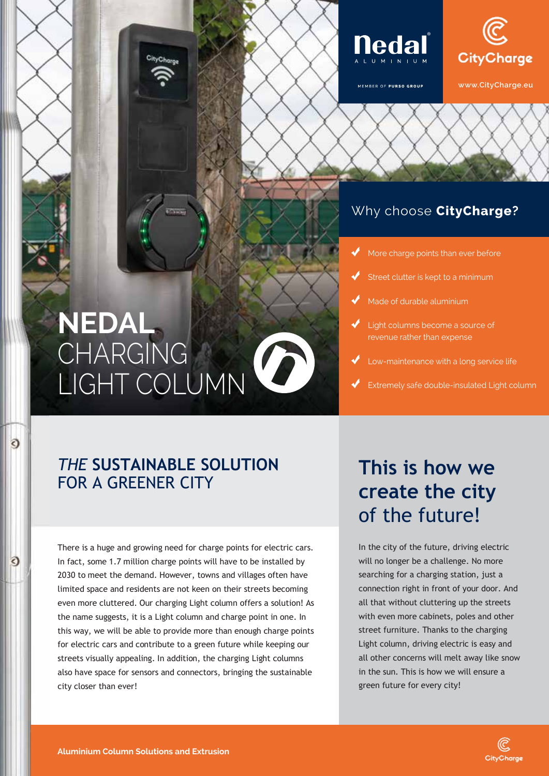



MEMBER OF PURSO GROUP



**www.CityCharge.eu**

## Why choose **Nedal**? Why choose **CityCharge?**

- More charge points than ever before
- Street clutter is kept to a minimum Street clutter is kept to a minimum
- Made of durable aluminium Made of durable aluminium
- Light columns become a source of revenue rather than expense
- Low-maintenance with a long service life
- k<br>Extremely safe double-insulated Light column

## **NEDAL NEDAL** CHARGING CHARGING D LIGHT COLUMN LIGHT COLUMN

## *THE* **SUSTAINABLE SOLUTION** FOR A GREENER CITY

 $\bullet$ 

€

There is a huge and growing need for charge points for electric cars. In fact, some 1.7 million charge points will have to be installed by 2030 to meet the demand. However, towns and villages often have limited space and residents are not keen on their streets becoming even more cluttered. Our charging Light column offers a solution! As the name suggests, it is a Light column and charge point in one. In this way, we will be able to provide more than enough charge points for electric cars and contribute to a green future while keeping our streets visually appealing. In addition, the charging Light columns also have space for sensors and connectors, bringing the sustainable city closer than ever!

## **This is how we create the city**  of the future!

In the city of the future, driving electric will no longer be a challenge. No more searching for a charging station, just a connection right in front of your door. And all that without cluttering up the streets with even more cabinets, poles and other street furniture. Thanks to the charging Light column, driving electric is easy and all other concerns will melt away like snow in the sun. This is how we will ensure a green future for every city!